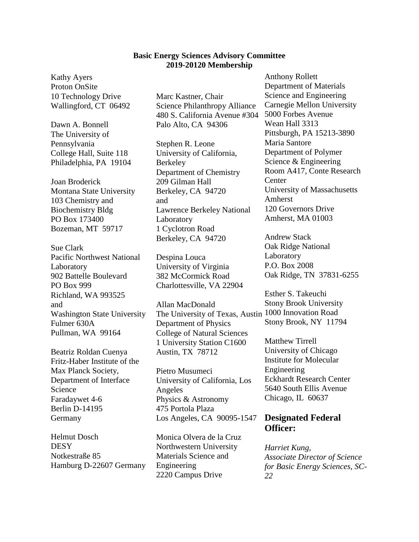## **Basic Energy Sciences Advisory Committee 2019-20120 Membership**

Kathy Ayers Proton OnSite 10 Technology Drive Wallingford, CT 06492

Dawn A. Bonnell The University of Pennsylvania College Hall, Suite 118 Philadelphia, PA 19104

Joan Broderick Montana State University 103 Chemistry and Biochemistry Bldg PO Box 173400 Bozeman, MT 59717

Sue Clark Pacific Northwest National Laboratory 902 Battelle Boulevard PO Box 999 Richland, WA 993525 and Washington State University Fulmer 630A Pullman, WA 99164

Beatriz Roldan Cuenya Fritz-Haber Institute of the Max Planck Society, Department of Interface Science Faradaywet 4-6 Berlin D-14195 Germany

Helmut Dosch **DESY** Notkestraße 85 Hamburg D-22607 Germany Marc Kastner, Chair Science Philanthropy Alliance 480 S. California Avenue #304 Palo Alto, CA 94306

Stephen R. Leone University of California, Berkeley Department of Chemistry 209 Gilman Hall Berkeley, CA 94720 and Lawrence Berkeley National Laboratory 1 Cyclotron Road Berkeley, CA 94720

Despina Louca University of Virginia 382 McCormick Road Charlottesville, VA 22904

Allan MacDonald The University of Texas, Austin 1000 Innovation Road Department of Physics College of Natural Sciences 1 University Station C1600 Austin, TX 78712

Pietro Musumeci University of California, Los Angeles Physics & Astronomy 475 Portola Plaza Los Angeles, CA 90095-1547

Monica Olvera de la Cruz Northwestern University Materials Science and Engineering 2220 Campus Drive

Anthony Rollett Department of Materials Science and Engineering Carnegie Mellon University 5000 Forbes Avenue Wean Hall 3313 Pittsburgh, PA 15213-3890 Maria Santore Department of Polymer Science & Engineering Room A417, Conte Research **Center** University of Massachusetts Amherst 120 Governors Drive Amherst, MA 01003

Andrew Stack Oak Ridge National Laboratory P.O. Box 2008 Oak Ridge, TN 37831-6255

Esther S. Takeuchi Stony Brook University Stony Brook, NY 11794

Matthew Tirrell University of Chicago Institute for Molecular Engineering Eckhardt Research Center 5640 South Ellis Avenue Chicago, IL 60637

## **Designated Federal Officer:**

*Harriet Kung, Associate Director of Science for Basic Energy Sciences, SC-22*